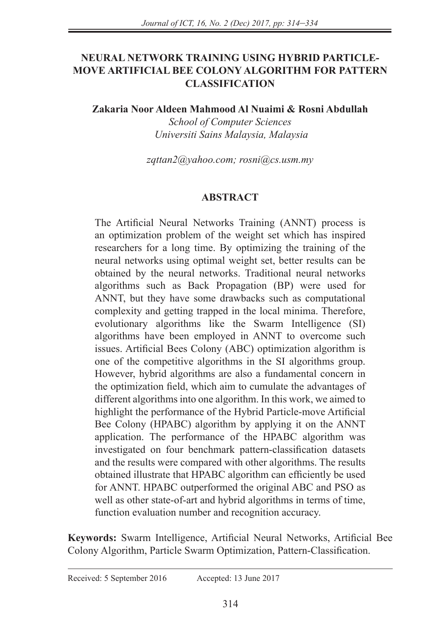# **NEURAL NETWORK TRAINING USING HYBRID PARTICLE-MOVE ARTIFICIAL BEE COLONY ALGORITHM FOR PATTERN CLASSIFICATION**

**Zakaria Noor Aldeen Mahmood Al Nuaimi & Rosni Abdullah**

*School of Computer Sciences Universiti Sains Malaysia, Malaysia*

*zqttan2@yahoo.com; rosni@cs.usm.my*

### **ABSTRACT**

The Artificial Neural Networks Training (ANNT) process is an optimization problem of the weight set which has inspired researchers for a long time. By optimizing the training of the neural networks using optimal weight set, better results can be obtained by the neural networks. Traditional neural networks algorithms such as Back Propagation (BP) were used for ANNT, but they have some drawbacks such as computational complexity and getting trapped in the local minima. Therefore, evolutionary algorithms like the Swarm Intelligence (SI) algorithms have been employed in ANNT to overcome such issues. Artificial Bees Colony (ABC) optimization algorithm is one of the competitive algorithms in the SI algorithms group. However, hybrid algorithms are also a fundamental concern in the optimization field, which aim to cumulate the advantages of different algorithms into one algorithm. In this work, we aimed to highlight the performance of the Hybrid Particle-move Artificial Bee Colony (HPABC) algorithm by applying it on the ANNT application. The performance of the HPABC algorithm was investigated on four benchmark pattern-classification datasets and the results were compared with other algorithms. The results obtained illustrate that HPABC algorithm can efficiently be used for ANNT. HPABC outperformed the original ABC and PSO as well as other state-of-art and hybrid algorithms in terms of time, function evaluation number and recognition accuracy.

**Keywords:** Swarm Intelligence, Artificial Neural Networks, Artificial Bee Colony Algorithm, Particle Swarm Optimization, Pattern-Classification.

Received: 5 September 2016Accepted: 13 June 2017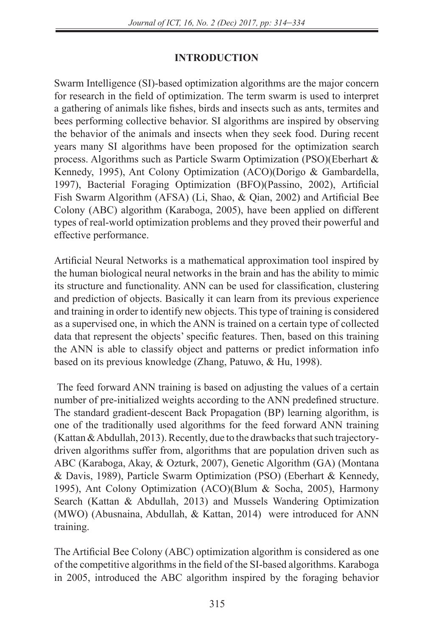# **INTRODUCTION**

Swarm Intelligence (SI)-based optimization algorithms are the major concern for research in the field of optimization. The term swarm is used to interpret a gathering of animals like fishes, birds and insects such as ants, termites and bees performing collective behavior. SI algorithms are inspired by observing the behavior of the animals and insects when they seek food. During recent years many SI algorithms have been proposed for the optimization search process. Algorithms such as Particle Swarm Optimization (PSO)(Eberhart & Kennedy, 1995), Ant Colony Optimization (ACO)(Dorigo & Gambardella, 1997), Bacterial Foraging Optimization (BFO)(Passino, 2002), Artificial Fish Swarm Algorithm (AFSA) (Li, Shao, & Qian, 2002) and Artificial Bee Colony (ABC) algorithm (Karaboga, 2005), have been applied on different types of real-world optimization problems and they proved their powerful and effective performance.

Artificial Neural Networks is a mathematical approximation tool inspired by the human biological neural networks in the brain and has the ability to mimic its structure and functionality. ANN can be used for classification, clustering and prediction of objects. Basically it can learn from its previous experience and training in order to identify new objects. This type of training is considered as a supervised one, in which the ANN is trained on a certain type of collected data that represent the objects' specific features. Then, based on this training the ANN is able to classify object and patterns or predict information info based on its previous knowledge (Zhang, Patuwo, & Hu, 1998).

 The feed forward ANN training is based on adjusting the values of a certain number of pre-initialized weights according to the ANN predefined structure. The standard gradient-descent Back Propagation (BP) learning algorithm, is one of the traditionally used algorithms for the feed forward ANN training (Kattan & Abdullah, 2013). Recently, due to the drawbacks that such trajectorydriven algorithms suffer from, algorithms that are population driven such as ABC (Karaboga, Akay, & Ozturk, 2007), Genetic Algorithm (GA) (Montana & Davis, 1989), Particle Swarm Optimization (PSO) (Eberhart & Kennedy, 1995), Ant Colony Optimization (ACO)(Blum & Socha, 2005), Harmony Search (Kattan & Abdullah, 2013) and Mussels Wandering Optimization (MWO) (Abusnaina, Abdullah, & Kattan, 2014) were introduced for ANN training.

The Artificial Bee Colony (ABC) optimization algorithm is considered as one of the competitive algorithms in the field of the SI-based algorithms. Karaboga in 2005, introduced the ABC algorithm inspired by the foraging behavior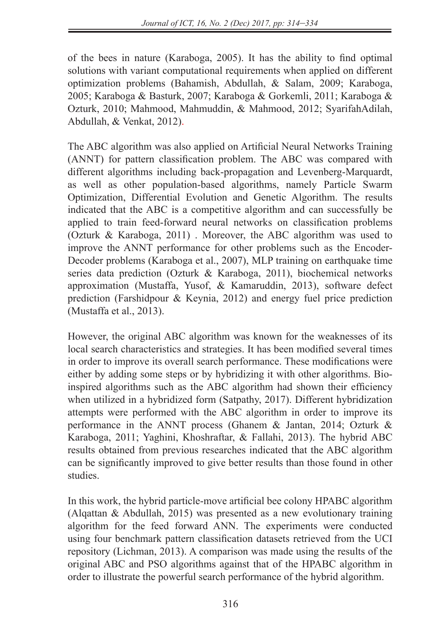of the bees in nature (Karaboga, 2005). It has the ability to find optimal solutions with variant computational requirements when applied on different optimization problems (Bahamish, Abdullah, & Salam, 2009; Karaboga, 2005; Karaboga & Basturk, 2007; Karaboga & Gorkemli, 2011; Karaboga & Ozturk, 2010; Mahmood, Mahmuddin, & Mahmood, 2012; SyarifahAdilah, Abdullah, & Venkat, 2012).

The ABC algorithm was also applied on Artificial Neural Networks Training (ANNT) for pattern classification problem. The ABC was compared with different algorithms including back-propagation and Levenberg-Marquardt, as well as other population-based algorithms, namely Particle Swarm Optimization, Differential Evolution and Genetic Algorithm. The results indicated that the ABC is a competitive algorithm and can successfully be applied to train feed-forward neural networks on classification problems (Ozturk & Karaboga, 2011) . Moreover, the ABC algorithm was used to improve the ANNT performance for other problems such as the Encoder-Decoder problems (Karaboga et al., 2007), MLP training on earthquake time series data prediction (Ozturk & Karaboga, 2011), biochemical networks approximation (Mustaffa, Yusof, & Kamaruddin, 2013), software defect prediction (Farshidpour & Keynia, 2012) and energy fuel price prediction (Mustaffa et al., 2013).

However, the original ABC algorithm was known for the weaknesses of its local search characteristics and strategies. It has been modified several times in order to improve its overall search performance. These modifications were either by adding some steps or by hybridizing it with other algorithms. Bioinspired algorithms such as the ABC algorithm had shown their efficiency when utilized in a hybridized form (Satpathy, 2017). Different hybridization attempts were performed with the ABC algorithm in order to improve its performance in the ANNT process (Ghanem & Jantan, 2014; Ozturk & Karaboga, 2011; Yaghini, Khoshraftar, & Fallahi, 2013). The hybrid ABC results obtained from previous researches indicated that the ABC algorithm can be significantly improved to give better results than those found in other studies.

In this work, the hybrid particle-move artificial bee colony HPABC algorithm (Alqattan & Abdullah, 2015) was presented as a new evolutionary training algorithm for the feed forward ANN. The experiments were conducted using four benchmark pattern classification datasets retrieved from the UCI repository (Lichman, 2013). A comparison was made using the results of the original ABC and PSO algorithms against that of the HPABC algorithm in order to illustrate the powerful search performance of the hybrid algorithm.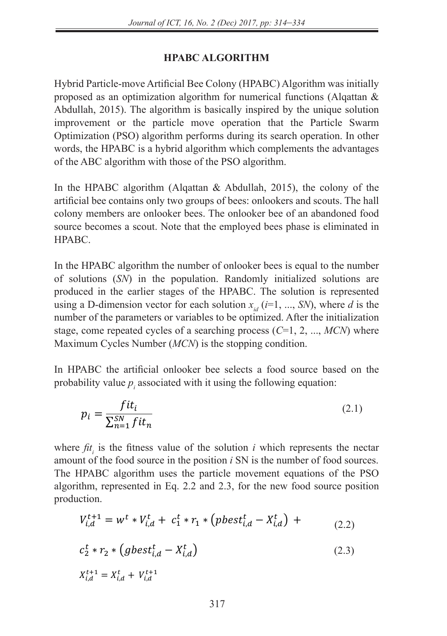## **HPABC ALGORITHM**

Hybrid Particle-move Artificial Bee Colony (HPABC) Algorithm was initially proposed as an optimization algorithm for numerical functions (Alqattan & Abdullah, 2015). The algorithm is basically inspired by the unique solution improvement or the particle move operation that the Particle Swarm Optimization (PSO) algorithm performs during its search operation. In other words, the HPABC is a hybrid algorithm which complements the advantages of the ABC algorithm with those of the PSO algorithm.

In the HPABC algorithm (Alqattan & Abdullah, 2015), the colony of the artificial bee contains only two groups of bees: onlookers and scouts. The hall colony members are onlooker bees. The onlooker bee of an abandoned food source becomes a scout. Note that the employed bees phase is eliminated in HPABC.

In the HPABC algorithm the number of onlooker bees is equal to the number of solutions (*SN*) in the population. Randomly initialized solutions are produced in the earlier stages of the HPABC. The solution is represented using a D-dimension vector for each solution  $x_{i,d}$  ( $i=1, ..., SN$ ), where *d* is the number of the parameters or variables to be optimized. After the initialization stage, come repeated cycles of a searching process (*C*=1, 2, ..., *MCN*) where Maximum Cycles Number (*MCN*) is the stopping condition.

In HPABC the artificial onlooker bee selects a food source based on the probability value  $p_i$  associated with it using the following equation:

$$
p_i = \frac{fit_i}{\sum_{n=1}^{SN} fit_n}
$$
 (2.1)

where  $fit_i$  is the fitness value of the solution *i* which represents the nectar source of the fit of the decree position. SNI is the new head fixed source amount of the food source in the position  $i$  SN is the number of food sources. amount of the food source in the position  $i$  SN is the number of food sources.<br>The HPABC algorithm uses the particle movement equations of the PSO algorithm, represented in Eq. 2.2 and 2.3, for the new food source position production. ∑al ⊅algorithm<br>mresented  $\frac{1}{2}$ production.

$$
V_{i,d}^{t+1} = w^t * V_{i,d}^t + c_1^t * r_1 * (pbest_{i,d}^t - X_{i,d}^t) + \tag{2.2}
$$

$$
c_2^t * r_2 * (gbest_{i,d}^t - X_{i,d}^t)
$$
\n(2.3)

$$
X_{i,d}^{t+1} = X_{i,d}^t + V_{i,d}^{t+1}
$$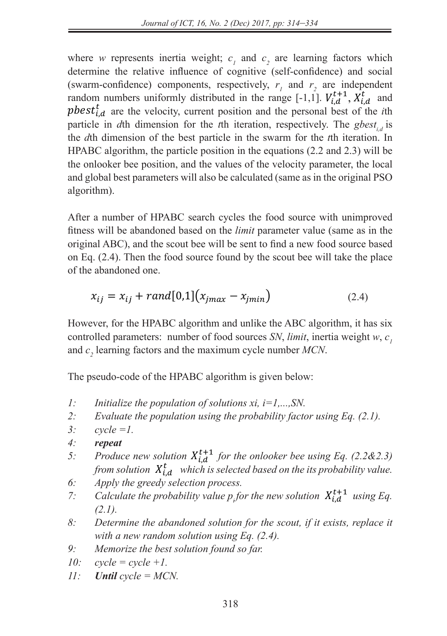$\frac{1}{2}$   $\frac{1}{2}$   $\frac{1}{2}$   $\frac{1}{2}$   $\frac{1}{2}$   $\frac{1}{2}$   $\frac{1}{2}$   $\frac{1}{2}$   $\frac{1}{2}$   $\frac{1}{2}$   $\frac{1}{2}$   $\frac{1}{2}$   $\frac{1}{2}$   $\frac{1}{2}$   $\frac{1}{2}$   $\frac{1}{2}$   $\frac{1}{2}$   $\frac{1}{2}$   $\frac{1}{2}$   $\frac{1}{2}$   $\frac{1}{2}$   $\frac{1}{2}$ 

) + 2

− ,

,

− ,

+1 = ∗ ,

) (2.2)

where *w* represents inertia weight;  $c_1$  and  $c_2$  are learning factors which determine the relative influence of cognitive (self-confidence) and social (swarm-confidence) components, respectively,  $r_1$  and  $r_2$  are independent random numbers uniformly distributed in the range  $[-1, 1]$ .  $V_{i,d}^{t+1}$ ,  $X_{i,d}^{t}$  and **phest**<sup> $t$ </sup>,  $a$  are the velocity, current position and the personal best of the *i*th position is due to the *i*th dimension for the *i*<sup>th</sup> iteration, respectively. The *chest* is particle in *d*th dimension for the *t*th iteration, respectively. The gbest<sub>i,d</sub> is the *d*th dimension of the best particle in the swarm for the *t*th iteration. In HPABC algorithm, the particle position in the equations (2.2 and 2.3) will be the onlooker bee position, and the values of the velocity parameter, the local the onlooker bee position, and the values of the velocity parameter, the local and global best parameters will also be calculated (same as in the original PSO and global best parameters will also be calculated (same as in the original PSO algorithm).  $\mathcal{L}_1$  (2.3)  $\mathcal{L}_2$  (2.3)  $\mathcal{L}_3$  (2.3)  $\mathcal{L}_4$  (2.3)  $\mathcal{L}_5$  (2.3)  $\mathcal{L}_6$  (2.3)  $\mathcal{L}_7$ 

After a number of HPABC search cycles the food source with unimproved fitness will be abandoned based on the *limit* parameter value (same as in the original ABC), and the scout bee will be sent to find a new food source based on Eq. (2.4). Then the food source found by the scout bee will take the place on Eq. (2.4). of the abandoned one. *which is number of HTADC selected eyercs* +1 *using Eq. (2.1).* fitness will be abandoned based on the *limit* parameter value (same as in the pricing)  $\Delta DG$  and the search best ill be sent to find a new feed serves based <sup>=</sup> ith unimpr ∑

$$
x_{ij} = x_{ij} + rand[0,1](x_{jmax} - x_{jmin})
$$
 (2.4)

However, for the HPABC algorithm and unlike the ABC algorithm, it has six rowever, for the FIFABC algorithm and unlike the ABC algorithm, it has six controlled parameters: number of food sources *SN*, *limit*, inertia weight  $w$ ,  $c<sub>1</sub>$ and  $c_2$  learning factors and the maximum cycle number  $MCN$ .  $\mu$ <sub>1</sub> and  $\mu$ <sub>1</sub>. The maximum cycle number  $\mu$ <sub>1</sub>  $\mu$ <sub>1</sub>. − ,

The pseudo-code of the HPABC algorithm is given below: *6: Apply the greedy selection process.* [-1,1]. , +1, , and ,

- *1: Initialize the population of solutions xi,*  $i=1,...,SN$ *.*
- *2:* Evaluate the population using the probability factor using Eq.  $(2.1)$ .<br>3: cycle = 1. probability factor using Eq.  $(2.1)$ .
- *3: cycle =1.*
- *4: repeat*

+1 = ∗ ,

 $\frac{1}{\sqrt{2}}$ 

 $\frac{1}{\sqrt{2}}$  (  $\frac{1}{\sqrt{2}}$   $\frac{1}{\sqrt{2}}$   $\frac{1}{\sqrt{2}}$   $\frac{1}{\sqrt{2}}$   $\frac{1}{\sqrt{2}}$   $\frac{1}{\sqrt{2}}$   $\frac{1}{\sqrt{2}}$   $\frac{1}{\sqrt{2}}$   $\frac{1}{\sqrt{2}}$   $\frac{1}{\sqrt{2}}$   $\frac{1}{\sqrt{2}}$   $\frac{1}{\sqrt{2}}$   $\frac{1}{\sqrt{2}}$   $\frac{1}{\sqrt{2}}$   $\frac{1}{\sqrt{2}}$   $\frac{1}{\sqrt{2}}$ 

- 4: **repeat**<br>5: Produce new solution  $X_{i,d}^{t+1}$  for the onlooker bee using Eq. (2.2&2.3) *from solution*  $X_{i,d}^t$  *for the ontooker bee using Eq. (2.282.5)*<br>from solution  $X_{i,d}^t$  which is selected based on the its probability value.
	- *6: Apply the greedy selection process.*
- *7*: Calculate the probability value  $p<sub>i</sub>$  for the new solution  $X_{i,d}^{t+1}$  using Eq. *(2.1).*  $\mathcal{L}$  *are greedy selection process.*<br>*Pate the probability value p<sub>i</sub>for the new solution*  $X_{i,d}^{t+1}$  *using Eq.* 
	- $(2.1)$ .<br>8: Determine the abandoned solution for the scout, if it exists, replace it with a new random solution using  $Eq. (2.4)$ .
		- *with a new ranaom solution using Eq. (2*<br>9: *Memorize the best solution found so far.*
		- *10: cycle = cycle +1.*
		- *11: Until cycle = MCN.*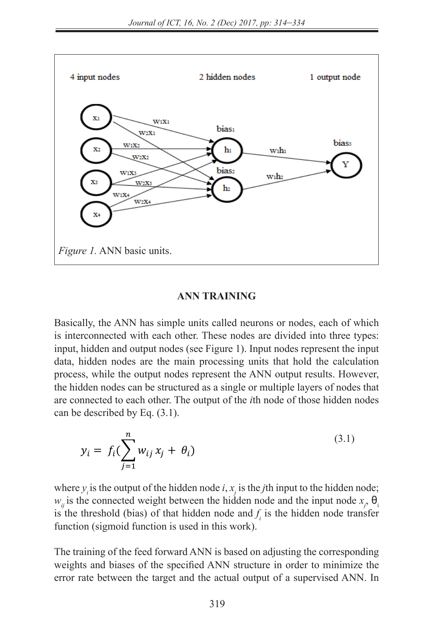

### **ANN TRAINING**   $=$  ANN TRAINING

Basically, the ANN has simple units called neurons or nodes, each of which is interconnected with each other. These nodes are divided into three types: input, hidden and output nodes (see Figure 1). Input nodes represent the input data, hidden nodes are the main processing units that hold the calculation process, while the output nodes represent the ANN output results. However, process, while the output hours represent the *TIVIV* output results. However, the hidden nodes can be structured as a single or multiple layers of nodes that are connected to each other. The output of the *i*th node of those hidden nodes can be described by Eq. (3.1).

$$
y_i = f_i(\sum_{j=1}^n w_{ij} x_j + \theta_i)
$$
\n
$$
(3.1)
$$

where  $y_i$  is the output of the hidden node *i*,  $x_j$  is the *j*th input to the hidden node;  $w_{ij}$  is the connected weight between the hidden node and the input node  $x_j$ ,  $\theta_i$ is the threshold (bias) of that hidden node and  $f_i$  is the hidden node transfer function (sigmoid function is used in this work).

The training of the feed forward ANN is based on adjusting the corresponding weights and biases of the specified ANN structure in order to minimize the error rate between the target and the actual output of a supervised ANN. In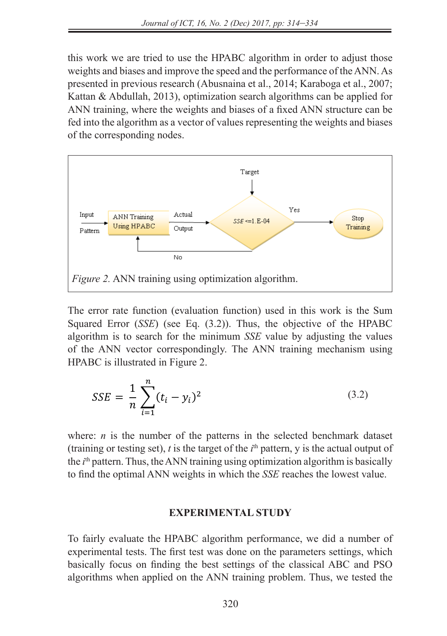this work we are tried to use the HPABC algorithm in order to adjust those weights and biases and improve the speed and the performance of the ANN. As presented in previous research (Abusnaina et al., 2014; Karaboga et al., 2007; Kattan & Abdullah, 2013), optimization search algorithms can be applied for ANN training, where the weights and biases of a fixed ANN structure can be fed into the algorithm as a vector of values representing the weights and biases of the corresponding nodes.  $\frac{\text{pre}}{\text{re}}$ 



The error rate function (evaluation function) used in this work is the Sum Squared Error (*SSE*) (see Eq. (3.2)). Thus, the objective of the HPABC algorithm is to search for the minimum *SSE* value by adjusting the values of the ANN vector correspondingly. The ANN training mechanism using HPABC is illustrated in Figure 2.

$$
SSE = \frac{1}{n} \sum_{i=1}^{n} (t_i - y_i)^2
$$
 (3.2)

where:  $n$  is the number of the patterns in the selected benchmark dataset (training or testing set),  $t$  is the target of the  $i<sup>th</sup>$  pattern,  $y$  is the actual output of the *i*<sup>th</sup> pattern. Thus, the ANN training using optimization algorithm is basically to find the optimal ANN weights in which the *SSE* reaches the lowest value.

### **EXPERIMENTAL STUDY**

To fairly evaluate the HPABC algorithm performance, we did a number of experimental tests. The first test was done on the parameters settings, which basically focus on finding the best settings of the classical ABC and PSO algorithms when applied on the ANN training problem. Thus, we tested the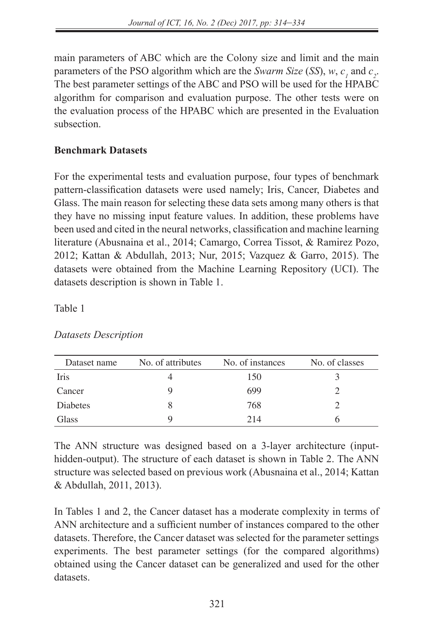main parameters of ABC which are the Colony size and limit and the main parameters of the PSO algorithm which are the *Swarm Size* (*SS*),  $w$ ,  $c<sub>1</sub>$  and  $c<sub>2</sub>$ . The best parameter settings of the ABC and PSO will be used for the HPABC algorithm for comparison and evaluation purpose. The other tests were on the evaluation process of the HPABC which are presented in the Evaluation subsection.

## **Benchmark Datasets**

For the experimental tests and evaluation purpose, four types of benchmark pattern-classification datasets were used namely; Iris, Cancer, Diabetes and Glass. The main reason for selecting these data sets among many others is that they have no missing input feature values. In addition, these problems have been used and cited in the neural networks, classification and machine learning literature (Abusnaina et al., 2014; Camargo, Correa Tissot, & Ramirez Pozo, 2012; Kattan & Abdullah, 2013; Nur, 2015; Vazquez & Garro, 2015). The datasets were obtained from the Machine Learning Repository (UCI). The datasets description is shown in Table 1.

Table 1

| Dataset name    | No. of attributes | No. of instances | No. of classes |
|-----------------|-------------------|------------------|----------------|
| Iris            |                   | 150              |                |
| Cancer          |                   | 699              |                |
| <b>Diabetes</b> |                   | 768              |                |
| Glass           |                   | 214              |                |

*Datasets Description*

The ANN structure was designed based on a 3-layer architecture (inputhidden-output). The structure of each dataset is shown in Table 2. The ANN structure was selected based on previous work (Abusnaina et al., 2014; Kattan & Abdullah, 2011, 2013).

In Tables 1 and 2, the Cancer dataset has a moderate complexity in terms of ANN architecture and a sufficient number of instances compared to the other datasets. Therefore, the Cancer dataset was selected for the parameter settings experiments. The best parameter settings (for the compared algorithms) obtained using the Cancer dataset can be generalized and used for the other datasets.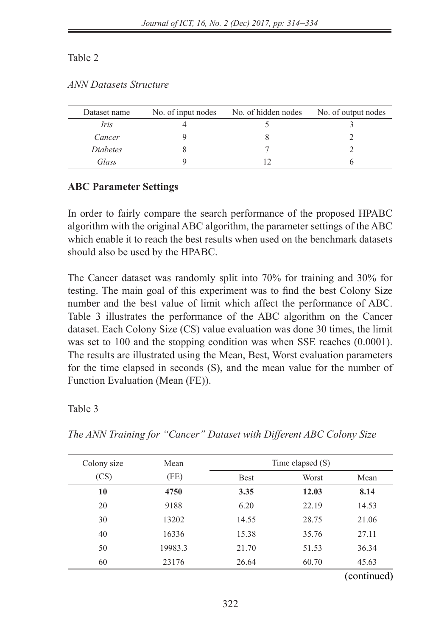| Dataset name    | No. of input nodes | No. of hidden nodes | No. of output nodes |
|-----------------|--------------------|---------------------|---------------------|
| Iris            |                    |                     |                     |
| Cancer          |                    |                     |                     |
| <i>Diabetes</i> |                    |                     |                     |
| Glass           |                    |                     |                     |

# **ABC Parameter Settings**

In order to fairly compare the search performance of the proposed HPABC algorithm with the original ABC algorithm, the parameter settings of the ABC which enable it to reach the best results when used on the benchmark datasets should also be used by the HPABC.

The Cancer dataset was randomly split into 70% for training and 30% for testing. The main goal of this experiment was to find the best Colony Size number and the best value of limit which affect the performance of ABC. Table 3 illustrates the performance of the ABC algorithm on the Cancer dataset. Each Colony Size (CS) value evaluation was done 30 times, the limit was set to 100 and the stopping condition was when SSE reaches (0.0001). The results are illustrated using the Mean, Best, Worst evaluation parameters for the time elapsed in seconds (S), and the mean value for the number of Function Evaluation (Mean (FE)).

Table 3

| Colony size | Mean    |             | Time elapsed $(S)$ |             |
|-------------|---------|-------------|--------------------|-------------|
| (CS)        | (FE)    | <b>Best</b> | Worst              | Mean        |
| 10          | 4750    | 3.35        | 12.03              | 8.14        |
| 20          | 9188    | 6.20        | 22.19              | 14.53       |
| 30          | 13202   | 14.55       | 28.75              | 21.06       |
| 40          | 16336   | 15.38       | 35.76              | 27.11       |
| 50          | 19983.3 | 21.70       | 51.53              | 36.34       |
| 60          | 23176   | 26.64       | 60.70              | 45.63       |
|             |         |             |                    | (continued) |

*The ANN Training for "Cancer" Dataset with Different ABC Colony Size*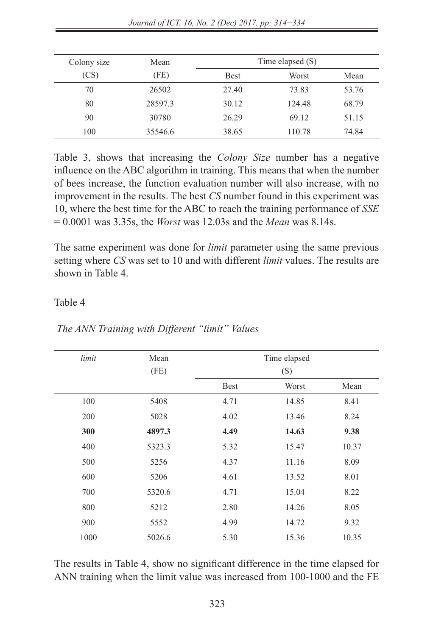| Colony size | Mean    | Time elapsed $(S)$ |        |       |
|-------------|---------|--------------------|--------|-------|
| (CS)        | (FE)    | <b>Best</b>        | Worst  | Mean  |
| 70          | 26502   | 27.40              | 73.83  | 53.76 |
| 80          | 28597.3 | 30.12              | 124.48 | 68.79 |
| 90          | 30780   | 26.29              | 69.12  | 51.15 |
| 100         | 35546.6 | 38.65              | 110.78 | 74.84 |

Table 3, shows that increasing the *Colony Size* number has a negative influence on the ABC algorithm in training. This means that when the number of bees increase, the function evaluation number will also increase, with no improvement in the results. The best *CS* number found in this experiment was 10, where the best time for the ABC to reach the training performance of *SSE* = 0.0001 was 3.35s, the *Worst* was 12.03s and the *Mean* was 8.14s.

The same experiment was done for *limit* parameter using the same previous setting where *CS* was set to 10 and with different *limit* values. The results are shown in Table 4.

#### Table 4

| limit | Mean   | Time elapsed |              |       |
|-------|--------|--------------|--------------|-------|
|       | (FE)   | <b>Best</b>  | (S)<br>Worst | Mean  |
| 100   | 5408   | 4.71         | 14.85        | 8.41  |
| 200   | 5028   | 4.02         | 13.46        | 8.24  |
| 300   | 4897.3 | 4.49         | 14.63        | 9.38  |
| 400   | 5323.3 | 5.32         | 15.47        | 10.37 |
| 500   | 5256   | 4.37         | 11.16        | 8.09  |
| 600   | 5206   | 4.61         | 13.52        | 8.01  |
| 700   | 5320.6 | 4.71         | 15.04        | 8.22  |
| 800   | 5212   | 2.80         | 14.26        | 8.05  |
| 900   | 5552   | 4.99         | 14.72        | 9.32  |
| 1000  | 5026.6 | 5.30         | 15.36        | 10.35 |

*The ANN Training with Different "limit" Values*

The results in Table 4, show no significant difference in the time elapsed for ANN training when the limit value was increased from 100-1000 and the FE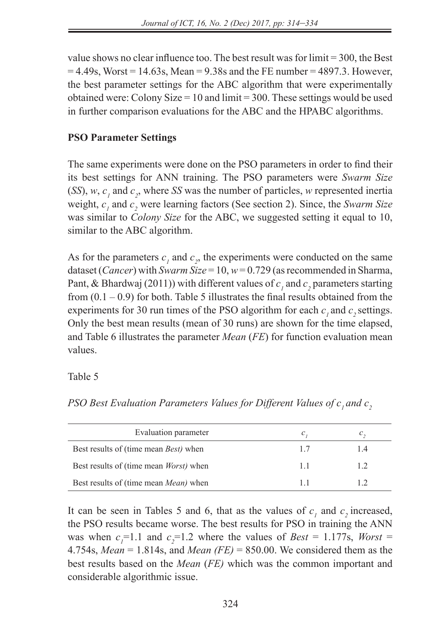value shows no clear influence too. The best result was for limit = 300, the Best  $= 4.49$ s, Worst  $= 14.63$ s, Mean  $= 9.38$ s and the FE number  $= 4897.3$ . However, the best parameter settings for the ABC algorithm that were experimentally obtained were: Colony Size  $= 10$  and limit  $= 300$ . These settings would be used in further comparison evaluations for the ABC and the HPABC algorithms.

# **PSO Parameter Settings**

The same experiments were done on the PSO parameters in order to find their its best settings for ANN training. The PSO parameters were *Swarm Size*  $(SS)$ , *w*, *c<sub>1</sub>* and *c<sub>2</sub>*, where *SS* was the number of particles, *w* represented inertia weight,  $c_1$  and  $c_2$  were learning factors (See section 2). Since, the *Swarm Size* was similar to *Colony Size* for the ABC, we suggested setting it equal to 10, similar to the ABC algorithm.

As for the parameters  $c_1$  and  $c_2$ , the experiments were conducted on the same dataset (*Cancer*) with *Swarm Size* = 10, *w* = 0.729 (as recommended in Sharma, Pant, & Bhardwaj (2011)) with different values of  $c<sub>1</sub>$  and  $c<sub>2</sub>$  parameters starting from  $(0.1 - 0.9)$  for both. Table 5 illustrates the final results obtained from the experiments for 30 run times of the PSO algorithm for each  $c_1$  and  $c_2$  settings. Only the best mean results (mean of 30 runs) are shown for the time elapsed, and Table 6 illustrates the parameter *Mean* (*FE*) for function evaluation mean values.

Table 5

*PSO Best Evaluation Parameters Values for Different Values of c<sub>1</sub> and c<sub>2</sub>* 

| Evaluation parameter                           | c  |  |
|------------------------------------------------|----|--|
| Best results of (time mean <i>Best</i> ) when  | 17 |  |
| Best results of (time mean <i>Worst</i> ) when | 11 |  |
| Best results of (time mean <i>Mean</i> ) when  |    |  |

It can be seen in Tables 5 and 6, that as the values of  $c_1$  and  $c_2$  increased, the PSO results became worse. The best results for PSO in training the ANN was when  $c_1$ =1.1 and  $c_2$ =1.2 where the values of *Best* = 1.177s, *Worst* = 4.754s, *Mean* = 1.814s, and *Mean (FE)* = 850.00. We considered them as the best results based on the *Mean* (*FE)* which was the common important and considerable algorithmic issue.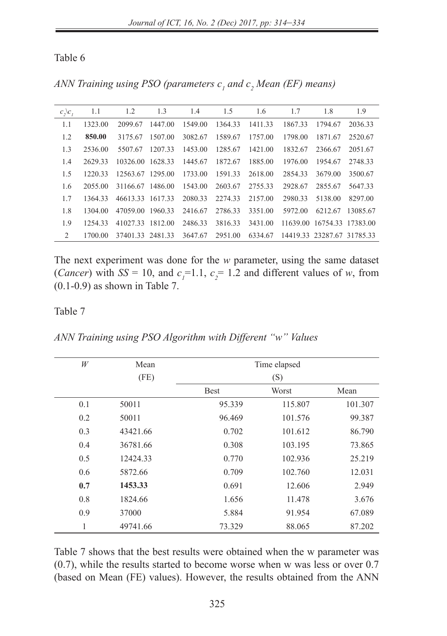| ANN Training using PSO (parameters $ci$ and $ci$ Mean (EF) means) |  |  |  |
|-------------------------------------------------------------------|--|--|--|
|-------------------------------------------------------------------|--|--|--|

| c, c, | 1.1     | 1.2              | 1.3     | 1.4     | 1.5     | 1.6     | 1.7     | 1.8                        | 1.9      |
|-------|---------|------------------|---------|---------|---------|---------|---------|----------------------------|----------|
| 1.1   | 1323.00 | 2099.67          | 1447.00 | 1549.00 | 1364.33 | 1411.33 | 1867.33 | 1794.67                    | 2036.33  |
| 1.2   | 850.00  | 3175.67          | 1507.00 | 3082.67 | 1589.67 | 1757.00 | 1798.00 | 1871.67                    | 2520.67  |
| 1.3   | 2536.00 | 5507.67          | 1207.33 | 1453.00 | 1285.67 | 1421.00 | 1832.67 | 2366.67                    | 2051.67  |
| 1.4   | 2629.33 | 10326.00 1628.33 |         | 1445.67 | 1872.67 | 1885.00 | 1976.00 | 1954.67                    | 2748.33  |
| 1.5   | 1220.33 | 12563.67 1295.00 |         | 1733.00 | 1591.33 | 2618.00 | 2854.33 | 3679.00                    | 3500.67  |
| 1.6   | 2055.00 | 31166.67 1486.00 |         | 1543.00 | 2603.67 | 2755.33 | 2928.67 | 2855.67                    | 5647.33  |
| 1.7   | 1364.33 | 46613.33         | 1617.33 | 2080.33 | 2274.33 | 2157.00 | 2980.33 | 5138.00                    | 8297.00  |
| 1.8   | 1304.00 | 47059.00         | 1960.33 | 2416.67 | 2786.33 | 3351.00 | 5972.00 | 6212.67                    | 13085.67 |
| 1.9   | 1254.33 | 41027.33         | 1812.00 | 2486.33 | 3816.33 | 3431.00 |         | 11639.00 16754.33 17383.00 |          |
| 2     | 1700.00 | 37401.33 2481.33 |         | 3647.67 | 2951.00 | 6334.67 |         | 14419.33 23287.67 31785.33 |          |

The next experiment was done for the *w* parameter, using the same dataset (*Cancer*) with  $SS = 10$ , and  $c_1 = 1.1$ ,  $c_2 = 1.2$  and different values of *w*, from (0.1-0.9) as shown in Table 7.

#### Table 7

*ANN Training using PSO Algorithm with Different "w" Values*

| W   | Mean     | Time elapsed |         |         |  |
|-----|----------|--------------|---------|---------|--|
|     | (FE)     |              | (S)     |         |  |
|     |          | <b>Best</b>  | Worst   | Mean    |  |
| 0.1 | 50011    | 95.339       | 115.807 | 101.307 |  |
| 0.2 | 50011    | 96.469       | 101.576 | 99.387  |  |
| 0.3 | 43421.66 | 0.702        | 101.612 | 86.790  |  |
| 0.4 | 36781.66 | 0.308        | 103.195 | 73.865  |  |
| 0.5 | 12424.33 | 0.770        | 102.936 | 25.219  |  |
| 0.6 | 5872.66  | 0.709        | 102.760 | 12.031  |  |
| 0.7 | 1453.33  | 0.691        | 12.606  | 2.949   |  |
| 0.8 | 1824.66  | 1.656        | 11.478  | 3.676   |  |
| 0.9 | 37000    | 5.884        | 91.954  | 67.089  |  |
| 1   | 49741.66 | 73.329       | 88.065  | 87.202  |  |

Table 7 shows that the best results were obtained when the w parameter was (0.7), while the results started to become worse when w was less or over 0.7 (based on Mean (FE) values). However, the results obtained from the ANN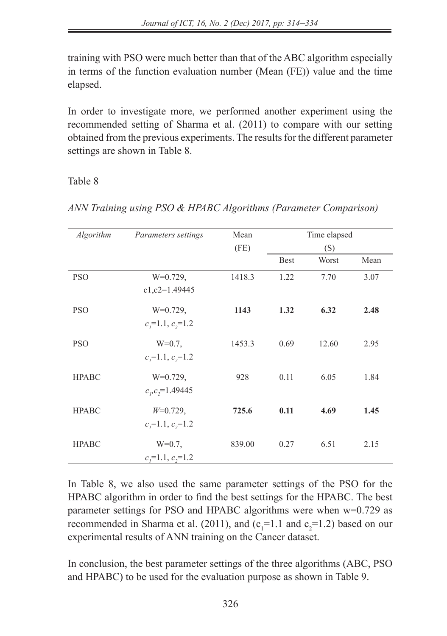training with PSO were much better than that of the ABC algorithm especially in terms of the function evaluation number (Mean (FE)) value and the time elapsed.

In order to investigate more, we performed another experiment using the recommended setting of Sharma et al. (2011) to compare with our setting obtained from the previous experiments. The results for the different parameter settings are shown in Table 8.

### Table 8

| Algorithm    | Parameters settings    | Mean   |             | Time elapsed |      |
|--------------|------------------------|--------|-------------|--------------|------|
|              |                        | (FE)   |             | (S)          |      |
|              |                        |        | <b>Best</b> | Worst        | Mean |
| <b>PSO</b>   | $W=0.729$ ,            | 1418.3 | 1.22        | 7.70         | 3.07 |
|              | $c1, c2=1.49445$       |        |             |              |      |
| <b>PSO</b>   | $W=0.729$ ,            | 1143   | 1.32        | 6.32         | 2.48 |
|              | $c_i$ =1.1, $c_i$ =1.2 |        |             |              |      |
| <b>PSO</b>   | $W=0.7$ ,              | 1453.3 | 0.69        | 12.60        | 2.95 |
|              | $c_i=1.1, c_i=1.2$     |        |             |              |      |
| <b>HPABC</b> | $W=0.729$ ,            | 928    | 0.11        | 6.05         | 1.84 |
|              | $c_p c_1 = 1.49445$    |        |             |              |      |
| <b>HPABC</b> | $W=0.729$ ,            | 725.6  | 0.11        | 4.69         | 1.45 |
|              | $c_i=1.1, c_i=1.2$     |        |             |              |      |
| <b>HPABC</b> | $W=0.7$ ,              | 839.00 | 0.27        | 6.51         | 2.15 |
|              | $c_i=1.1, c_i=1.2$     |        |             |              |      |

*ANN Training using PSO & HPABC Algorithms (Parameter Comparison)*

In Table 8, we also used the same parameter settings of the PSO for the HPABC algorithm in order to find the best settings for the HPABC. The best parameter settings for PSO and HPABC algorithms were when w=0.729 as recommended in Sharma et al. (2011), and  $(c_1=1.1 \text{ and } c_2=1.2)$  based on our experimental results of ANN training on the Cancer dataset.

In conclusion, the best parameter settings of the three algorithms (ABC, PSO and HPABC) to be used for the evaluation purpose as shown in Table 9.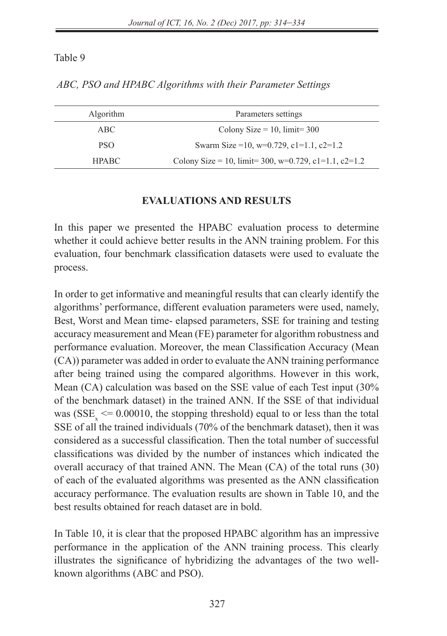| <b>Algorithm</b> | Parameters settings                                              |
|------------------|------------------------------------------------------------------|
| ABC              | Colony Size = $10$ , limit= 300                                  |
| <b>PSO</b>       | Swarm Size = 10, w=0.729, c1=1.1, c2=1.2                         |
| HPABC            | Colony Size = 10, $\lim_{x \to 0} 300$ , w=0.729, c1=1.1, c2=1.2 |

*ABC, PSO and HPABC Algorithms with their Parameter Settings*

### **EVALUATIONS AND RESULTS**

In this paper we presented the HPABC evaluation process to determine whether it could achieve better results in the ANN training problem. For this evaluation, four benchmark classification datasets were used to evaluate the process.

In order to get informative and meaningful results that can clearly identify the algorithms' performance, different evaluation parameters were used, namely, Best, Worst and Mean time- elapsed parameters, SSE for training and testing accuracy measurement and Mean (FE) parameter for algorithm robustness and performance evaluation. Moreover, the mean Classification Accuracy (Mean (CA)) parameter was added in order to evaluate the ANN training performance after being trained using the compared algorithms. However in this work, Mean (CA) calculation was based on the SSE value of each Test input (30% of the benchmark dataset) in the trained ANN. If the SSE of that individual was ( $SSE_x \le 0.00010$ , the stopping threshold) equal to or less than the total SSE of all the trained individuals (70% of the benchmark dataset), then it was considered as a successful classification. Then the total number of successful classifications was divided by the number of instances which indicated the overall accuracy of that trained ANN. The Mean (CA) of the total runs (30) of each of the evaluated algorithms was presented as the ANN classification accuracy performance. The evaluation results are shown in Table 10, and the best results obtained for reach dataset are in bold.

In Table 10, it is clear that the proposed HPABC algorithm has an impressive performance in the application of the ANN training process. This clearly illustrates the significance of hybridizing the advantages of the two wellknown algorithms (ABC and PSO).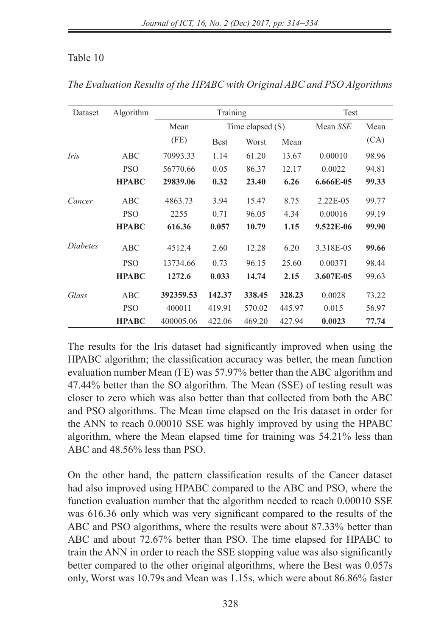| Dataset  | Algorithm    | Training     |                    |        |        | Test      |       |
|----------|--------------|--------------|--------------------|--------|--------|-----------|-------|
|          |              | Mean<br>(FE) | Time elapsed $(S)$ |        |        | Mean SSE  | Mean  |
|          |              |              | <b>Best</b>        | Worst  | Mean   |           | (CA)  |
| Iris     | ABC          | 70993.33     | 1.14               | 61.20  | 13.67  | 0.00010   | 98.96 |
|          | <b>PSO</b>   | 56770.66     | 0.05               | 86.37  | 12.17  | 0.0022    | 94.81 |
|          | <b>HPABC</b> | 29839.06     | 0.32               | 23.40  | 6.26   | 6.666E-05 | 99.33 |
| Cancer   | ABC          | 4863.73      | 3.94               | 15.47  | 8.75   | 2.22E-05  | 99.77 |
|          | <b>PSO</b>   | 2255         | 0.71               | 96.05  | 4.34   | 0.00016   | 99.19 |
|          | <b>HPABC</b> | 616.36       | 0.057              | 10.79  | 1.15   | 9.522E-06 | 99.90 |
| Diabetes | ABC          | 4512.4       | 2.60               | 12.28  | 6.20   | 3.318E-05 | 99.66 |
|          | <b>PSO</b>   | 13734.66     | 0.73               | 96.15  | 25.60  | 0.00371   | 98.44 |
|          | <b>HPABC</b> | 1272.6       | 0.033              | 14.74  | 2.15   | 3.607E-05 | 99.63 |
| Glass    | ABC          | 392359.53    | 142.37             | 338.45 | 328.23 | 0.0028    | 73.22 |
|          | <b>PSO</b>   | 400011       | 419.91             | 570.02 | 445.97 | 0.015     | 56.97 |
|          | <b>HPABC</b> | 400005.06    | 422.06             | 469.20 | 427.94 | 0.0023    | 77.74 |

*The Evaluation Results of the HPABC with Original ABC and PSO Algorithms*

The results for the Iris dataset had significantly improved when using the HPABC algorithm; the classification accuracy was better, the mean function evaluation number Mean (FE) was 57.97% better than the ABC algorithm and 47.44% better than the SO algorithm. The Mean (SSE) of testing result was closer to zero which was also better than that collected from both the ABC and PSO algorithms. The Mean time elapsed on the Iris dataset in order for the ANN to reach 0.00010 SSE was highly improved by using the HPABC algorithm, where the Mean elapsed time for training was 54.21% less than ABC and 48.56% less than PSO.

On the other hand, the pattern classification results of the Cancer dataset had also improved using HPABC compared to the ABC and PSO, where the function evaluation number that the algorithm needed to reach 0.00010 SSE was 616.36 only which was very significant compared to the results of the ABC and PSO algorithms, where the results were about 87.33% better than ABC and about 72.67% better than PSO. The time elapsed for HPABC to train the ANN in order to reach the SSE stopping value was also significantly better compared to the other original algorithms, where the Best was 0.057s only, Worst was 10.79s and Mean was 1.15s, which were about 86.86% faster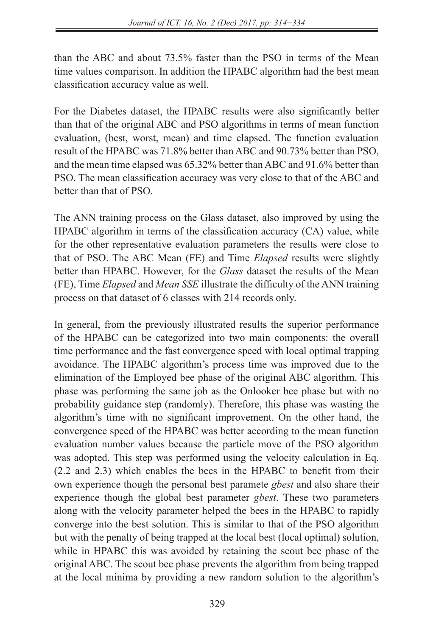than the ABC and about 73.5% faster than the PSO in terms of the Mean time values comparison. In addition the HPABC algorithm had the best mean classification accuracy value as well.

For the Diabetes dataset, the HPABC results were also significantly better than that of the original ABC and PSO algorithms in terms of mean function evaluation, (best, worst, mean) and time elapsed. The function evaluation result of the HPABC was 71.8% better than ABC and 90.73% better than PSO, and the mean time elapsed was 65.32% better than ABC and 91.6% better than PSO. The mean classification accuracy was very close to that of the ABC and better than that of PSO.

The ANN training process on the Glass dataset, also improved by using the HPABC algorithm in terms of the classification accuracy (CA) value, while for the other representative evaluation parameters the results were close to that of PSO. The ABC Mean (FE) and Time *Elapsed* results were slightly better than HPABC. However, for the *Glass* dataset the results of the Mean (FE), Time *Elapsed* and *Mean SSE* illustrate the difficulty of the ANN training process on that dataset of 6 classes with 214 records only.

In general, from the previously illustrated results the superior performance of the HPABC can be categorized into two main components: the overall time performance and the fast convergence speed with local optimal trapping avoidance. The HPABC algorithm's process time was improved due to the elimination of the Employed bee phase of the original ABC algorithm. This phase was performing the same job as the Onlooker bee phase but with no probability guidance step (randomly). Therefore, this phase was wasting the algorithm's time with no significant improvement. On the other hand, the convergence speed of the HPABC was better according to the mean function evaluation number values because the particle move of the PSO algorithm was adopted. This step was performed using the velocity calculation in Eq. (2.2 and 2.3) which enables the bees in the HPABC to benefit from their own experience though the personal best paramete *gbest* and also share their experience though the global best parameter *gbest*. These two parameters along with the velocity parameter helped the bees in the HPABC to rapidly converge into the best solution. This is similar to that of the PSO algorithm but with the penalty of being trapped at the local best (local optimal) solution, while in HPABC this was avoided by retaining the scout bee phase of the original ABC. The scout bee phase prevents the algorithm from being trapped at the local minima by providing a new random solution to the algorithm's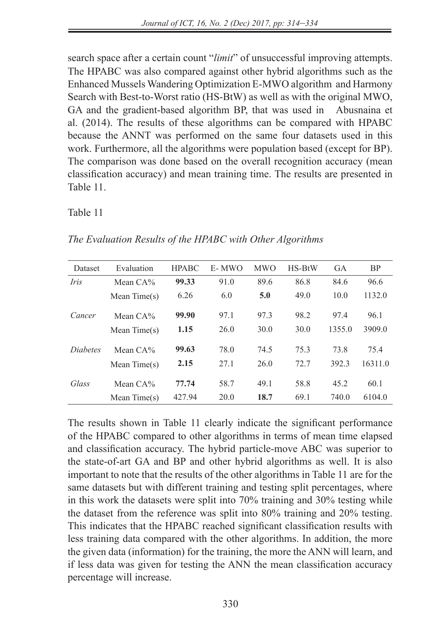search space after a certain count "*limit*" of unsuccessful improving attempts. The HPABC was also compared against other hybrid algorithms such as the Enhanced Mussels Wandering Optimization E-MWO algorithm and Harmony Search with Best-to-Worst ratio (HS-BtW) as well as with the original MWO, GA and the gradient-based algorithm BP, that was used in Abusnaina et al. (2014). The results of these algorithms can be compared with HPABC because the ANNT was performed on the same four datasets used in this work. Furthermore, all the algorithms were population based (except for BP). The comparison was done based on the overall recognition accuracy (mean classification accuracy) and mean training time. The results are presented in Table 11.

Table 11

| Dataset         | Evaluation     | <b>HPABC</b> | E-MWO | <b>MWO</b> | $HS-BtW$ | GA     | <b>BP</b> |
|-----------------|----------------|--------------|-------|------------|----------|--------|-----------|
| <i>Iris</i>     | Mean $CA\%$    | 99.33        | 91.0  | 89.6       | 86.8     | 84.6   | 96.6      |
|                 | Mean $Time(s)$ | 6.26         | 6.0   | 5.0        | 49.0     | 10.0   | 1132.0    |
| Cancer          | Mean $CA\%$    | 99.90        | 97.1  | 97.3       | 98.2     | 97.4   | 96.1      |
|                 | Mean $Time(s)$ | 1.15         | 26.0  | 30.0       | 30.0     | 1355.0 | 3909.0    |
| <i>Diabetes</i> | Mean $CA\%$    | 99.63        | 78.0  | 74.5       | 75.3     | 73.8   | 75.4      |
|                 | Mean $Time(s)$ | 2.15         | 27.1  | 26.0       | 72.7     | 392.3  | 16311.0   |
| Glass           | Mean $CA\%$    | 77.74        | 58.7  | 49.1       | 58.8     | 45.2   | 60.1      |
|                 | Mean $Time(s)$ | 427.94       | 20.0  | 18.7       | 69.1     | 740.0  | 6104.0    |

*The Evaluation Results of the HPABC with Other Algorithms*

The results shown in Table 11 clearly indicate the significant performance of the HPABC compared to other algorithms in terms of mean time elapsed and classification accuracy. The hybrid particle-move ABC was superior to the state-of-art GA and BP and other hybrid algorithms as well. It is also important to note that the results of the other algorithms in Table 11 are for the same datasets but with different training and testing split percentages, where in this work the datasets were split into 70% training and 30% testing while the dataset from the reference was split into 80% training and 20% testing. This indicates that the HPABC reached significant classification results with less training data compared with the other algorithms. In addition, the more the given data (information) for the training, the more the ANN will learn, and if less data was given for testing the ANN the mean classification accuracy percentage will increase.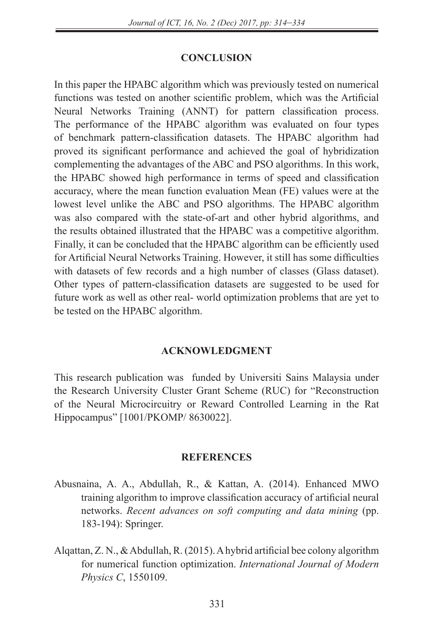### **CONCLUSION**

In this paper the HPABC algorithm which was previously tested on numerical functions was tested on another scientific problem, which was the Artificial Neural Networks Training (ANNT) for pattern classification process. The performance of the HPABC algorithm was evaluated on four types of benchmark pattern-classification datasets. The HPABC algorithm had proved its significant performance and achieved the goal of hybridization complementing the advantages of the ABC and PSO algorithms. In this work, the HPABC showed high performance in terms of speed and classification accuracy, where the mean function evaluation Mean (FE) values were at the lowest level unlike the ABC and PSO algorithms. The HPABC algorithm was also compared with the state-of-art and other hybrid algorithms, and the results obtained illustrated that the HPABC was a competitive algorithm. Finally, it can be concluded that the HPABC algorithm can be efficiently used for Artificial Neural Networks Training. However, it still has some difficulties with datasets of few records and a high number of classes (Glass dataset). Other types of pattern-classification datasets are suggested to be used for future work as well as other real- world optimization problems that are yet to be tested on the HPABC algorithm.

### **ACKNOWLEDGMENT**

This research publication was funded by Universiti Sains Malaysia under the Research University Cluster Grant Scheme (RUC) for "Reconstruction of the Neural Microcircuitry or Reward Controlled Learning in the Rat Hippocampus" [1001/PKOMP/ 8630022].

#### **REFERENCES**

- Abusnaina, A. A., Abdullah, R., & Kattan, A. (2014). Enhanced MWO training algorithm to improve classification accuracy of artificial neural networks. *Recent advances on soft computing and data mining* (pp. 183-194): Springer.
- Alqattan, Z. N., & Abdullah, R. (2015). A hybrid artificial bee colony algorithm for numerical function optimization. *International Journal of Modern Physics C*, 1550109.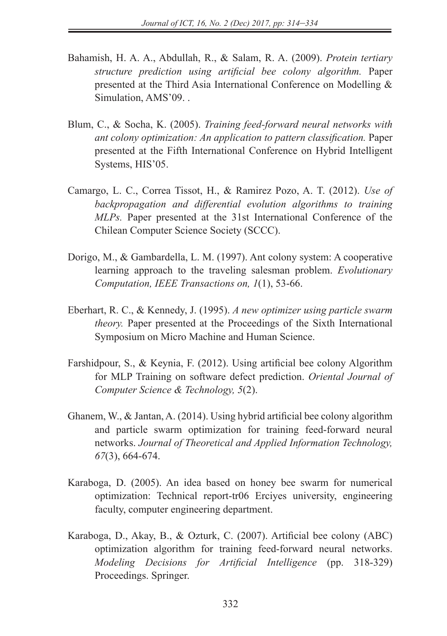- Bahamish, H. A. A., Abdullah, R., & Salam, R. A. (2009). *Protein tertiary structure prediction using artificial bee colony algorithm.* Paper presented at the Third Asia International Conference on Modelling & Simulation, AMS'09. .
- Blum, C., & Socha, K. (2005). *Training feed-forward neural networks with ant colony optimization: An application to pattern classification.* Paper presented at the Fifth International Conference on Hybrid Intelligent Systems, HIS'05.
- Camargo, L. C., Correa Tissot, H., & Ramirez Pozo, A. T. (2012). *Use of backpropagation and differential evolution algorithms to training MLPs.* Paper presented at the 31st International Conference of the Chilean Computer Science Society (SCCC).
- Dorigo, M., & Gambardella, L. M. (1997). Ant colony system: A cooperative learning approach to the traveling salesman problem. *Evolutionary Computation, IEEE Transactions on, 1*(1), 53-66.
- Eberhart, R. C., & Kennedy, J. (1995). *A new optimizer using particle swarm theory.* Paper presented at the Proceedings of the Sixth International Symposium on Micro Machine and Human Science.
- Farshidpour, S., & Keynia, F. (2012). Using artificial bee colony Algorithm for MLP Training on software defect prediction. *Oriental Journal of Computer Science & Technology, 5*(2).
- Ghanem, W., & Jantan, A. (2014). Using hybrid artificial bee colony algorithm and particle swarm optimization for training feed-forward neural networks. *Journal of Theoretical and Applied Information Technology, 67*(3), 664-674.
- Karaboga, D. (2005). An idea based on honey bee swarm for numerical optimization: Technical report-tr06 Erciyes university, engineering faculty, computer engineering department.
- Karaboga, D., Akay, B., & Ozturk, C. (2007). Artificial bee colony (ABC) optimization algorithm for training feed-forward neural networks. *Modeling Decisions for Artificial Intelligence* (pp. 318-329) Proceedings. Springer.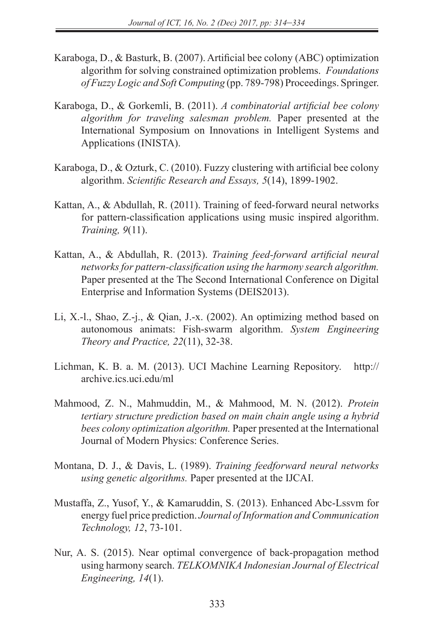- Karaboga, D., & Basturk, B. (2007). Artificial bee colony (ABC) optimization algorithm for solving constrained optimization problems. *Foundations of Fuzzy Logic and Soft Computing* (pp. 789-798) Proceedings. Springer.
- Karaboga, D., & Gorkemli, B. (2011). *A combinatorial artificial bee colony algorithm for traveling salesman problem.* Paper presented at the International Symposium on Innovations in Intelligent Systems and Applications (INISTA).
- Karaboga, D., & Ozturk, C. (2010). Fuzzy clustering with artificial bee colony algorithm. *Scientific Research and Essays, 5*(14), 1899-1902.
- Kattan, A., & Abdullah, R. (2011). Training of feed-forward neural networks for pattern-classification applications using music inspired algorithm. *Training, 9*(11).
- Kattan, A., & Abdullah, R. (2013). *Training feed-forward artificial neural networks for pattern-classification using the harmony search algorithm.* Paper presented at the The Second International Conference on Digital Enterprise and Information Systems (DEIS2013).
- Li, X.-l., Shao, Z.-j., & Qian, J.-x. (2002). An optimizing method based on autonomous animats: Fish-swarm algorithm. *System Engineering Theory and Practice, 22*(11), 32-38.
- Lichman, K. B. a. M. (2013). UCI Machine Learning Repository. http:// archive.ics.uci.edu/ml
- Mahmood, Z. N., Mahmuddin, M., & Mahmood, M. N. (2012). *Protein tertiary structure prediction based on main chain angle using a hybrid bees colony optimization algorithm.* Paper presented at the International Journal of Modern Physics: Conference Series.
- Montana, D. J., & Davis, L. (1989). *Training feedforward neural networks using genetic algorithms.* Paper presented at the IJCAI.
- Mustaffa, Z., Yusof, Y., & Kamaruddin, S. (2013). Enhanced Abc-Lssvm for energy fuel price prediction. *Journal of Information and Communication Technology, 12*, 73-101.
- Nur, A. S. (2015). Near optimal convergence of back-propagation method using harmony search. *TELKOMNIKA Indonesian Journal of Electrical Engineering, 14*(1).